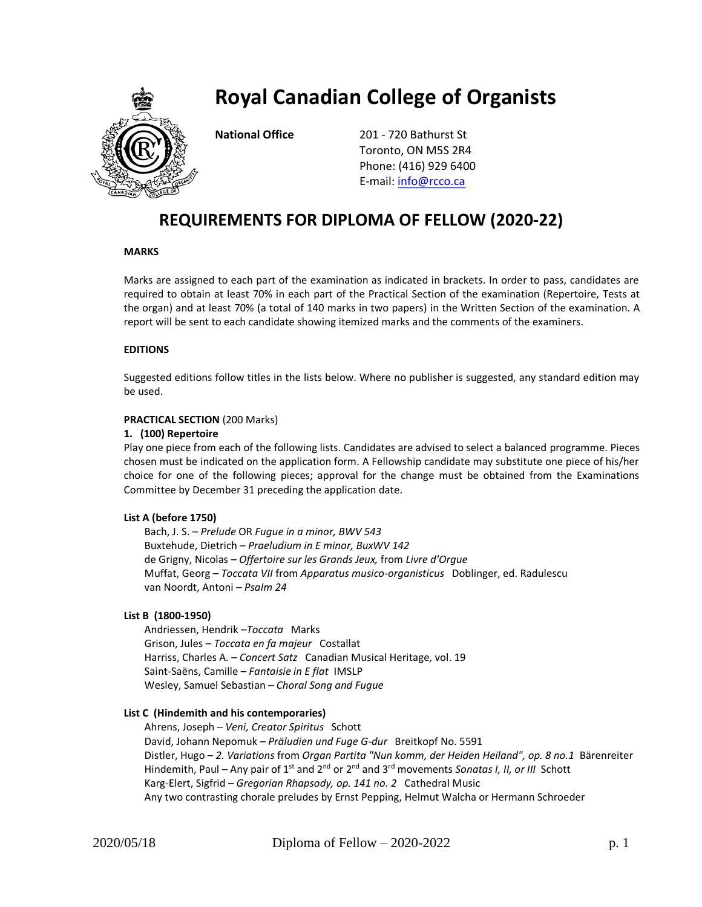

# **Royal Canadian College of Organists**

**National Office** 201 - 720 Bathurst St Toronto, ON M5S 2R4 Phone: (416) 929 6400 E-mail: [info@rcco.ca](mailto:info@rcco.ca)

# **REQUIREMENTS FOR DIPLOMA OF FELLOW (2020-22)**

#### **MARKS**

Marks are assigned to each part of the examination as indicated in brackets. In order to pass, candidates are required to obtain at least 70% in each part of the Practical Section of the examination (Repertoire, Tests at the organ) and at least 70% (a total of 140 marks in two papers) in the Written Section of the examination. A report will be sent to each candidate showing itemized marks and the comments of the examiners.

## **EDITIONS**

Suggested editions follow titles in the lists below. Where no publisher is suggested, any standard edition may be used.

#### **PRACTICAL SECTION** (200 Marks)

#### **1. (100) Repertoire**

Play one piece from each of the following lists. Candidates are advised to select a balanced programme. Pieces chosen must be indicated on the application form. A Fellowship candidate may substitute one piece of his/her choice for one of the following pieces; approval for the change must be obtained from the Examinations Committee by December 31 preceding the application date.

#### **List A (before 1750)**

Bach, J. S. – *Prelude* OR *Fugue in a minor, BWV 543* Buxtehude, Dietrich – *Praeludium in E minor, BuxWV 142* de Grigny, Nicolas – *Offertoire sur les Grands Jeux,* from *Livre d'Orgue* Muffat, Georg – *Toccata VII* from *Apparatus musico-organisticus* Doblinger, ed. Radulescu van Noordt, Antoni – *Psalm 24*

#### **List B (1800-1950)**

Andriessen, Hendrik –*Toccata* Marks Grison, Jules – *Toccata en fa majeur* Costallat Harriss, Charles A. – *Concert Satz* Canadian Musical Heritage, vol. 19 Saint-Saëns, Camille – *Fantaisie in E flat* IMSLP Wesley, Samuel Sebastian – *Choral Song and Fugue* 

#### **List C (Hindemith and his contemporaries)**

Ahrens, Joseph – *Veni, Creator Spiritus* Schott David, Johann Nepomuk – *Präludien und Fuge G-dur* Breitkopf No. 5591 Distler, Hugo – *2. Variations* from *Organ Partita "Nun komm, der Heiden Heiland", op. 8 no.1* Bärenreiter Hindemith, Paul – Any pair of 1<sup>st</sup> and 2<sup>nd</sup> or 2<sup>nd</sup> and 3<sup>rd</sup> movements *Sonatas I, II, or III* Schott Karg-Elert, Sigfrid – *Gregorian Rhapsody, op. 141 no. 2* Cathedral Music Any two contrasting chorale preludes by Ernst Pepping, Helmut Walcha or Hermann Schroeder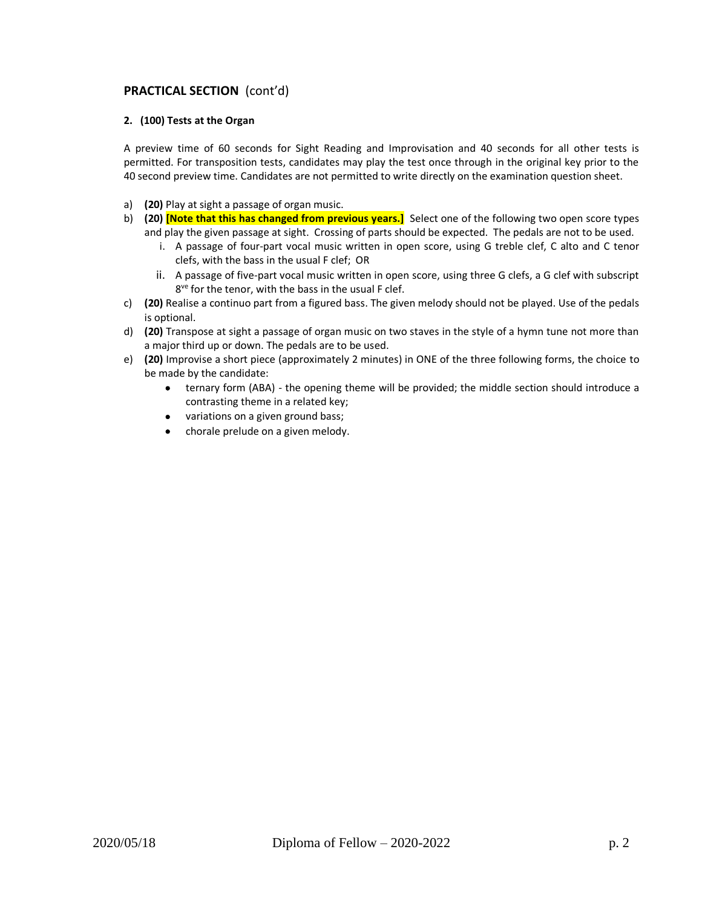# **PRACTICAL SECTION** (cont'd)

#### **2. (100) Tests at the Organ**

A preview time of 60 seconds for Sight Reading and Improvisation and 40 seconds for all other tests is permitted. For transposition tests, candidates may play the test once through in the original key prior to the 40 second preview time. Candidates are not permitted to write directly on the examination question sheet.

- a) **(20)** Play at sight a passage of organ music.
- b) **(20) [Note that this has changed from previous years.]** Select one of the following two open score types and play the given passage at sight. Crossing of parts should be expected. The pedals are not to be used.
	- i. A passage of four-part vocal music written in open score, using G treble clef, C alto and C tenor clefs, with the bass in the usual F clef; OR
	- ii. A passage of five-part vocal music written in open score, using three G clefs, a G clef with subscript 8<sup>ve</sup> for the tenor, with the bass in the usual F clef.
- c) **(20)** Realise a continuo part from a figured bass. The given melody should not be played. Use of the pedals is optional.
- d) **(20)** Transpose at sight a passage of organ music on two staves in the style of a hymn tune not more than a major third up or down. The pedals are to be used.
- e) **(20)** Improvise a short piece (approximately 2 minutes) in ONE of the three following forms, the choice to be made by the candidate:
	- ternary form (ABA) the opening theme will be provided; the middle section should introduce a contrasting theme in a related key;
	- variations on a given ground bass;
	- chorale prelude on a given melody.